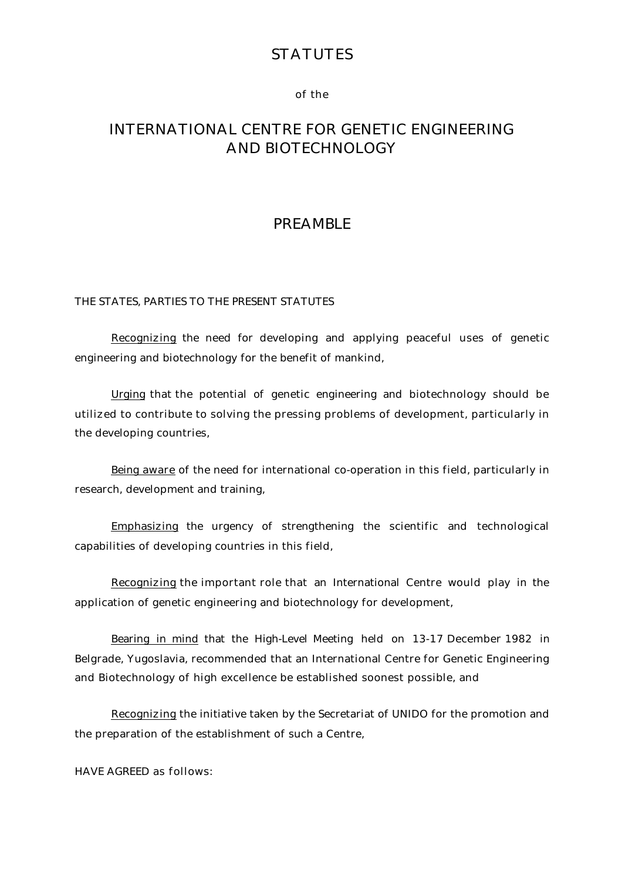# **STATUTES**

#### of the

# INTERNATIONAL CENTRE FOR GENETIC ENGINEERING AND BIOTECHNOLOGY

# PREAMBLE

#### THE STATES, PARTIES TO THE PRESENT STATUTES

 Recognizing the need for developing and applying peaceful uses of genetic engineering and biotechnology for the benefit of mankind,

 Urging that the potential of genetic engineering and biotechnology should be utilized to contribute to solving the pressing problems of development, particularly in the developing countries,

 Being aware of the need for international co-operation in this field, particularly in research, development and training,

 Emphasizing the urgency of strengthening the scientific and technological capabilities of developing countries in this field,

 Recognizing the important role that an International Centre would play in the application of genetic engineering and biotechnology for development,

 Bearing in mind that the High-Level Meeting held on 13-17 December 1982 in Belgrade, Yugoslavia, recommended that an International Centre for Genetic Engineering and Biotechnology of high excellence be established soonest possible, and

 Recognizing the initiative taken by the Secretariat of UNIDO for the promotion and the preparation of the establishment of such a Centre,

HAVE AGREED as follows: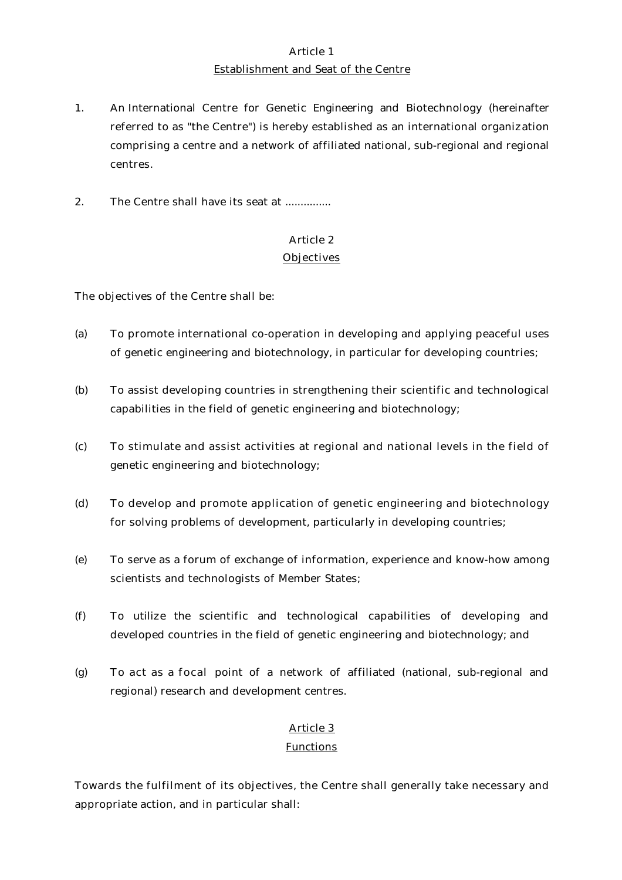# Article 1 Establishment and Seat of the Centre

- 1. An International Centre for Genetic Engineering and Biotechnology (hereinafter referred to as "the Centre") is hereby established as an international organization comprising a centre and a network of affiliated national, sub-regional and regional centres.
- 2. The Centre shall have its seat at ...............

# Article 2

#### **Objectives**

The objectives of the Centre shall be:

- (a) To promote international co-operation in developing and applying peaceful uses of genetic engineering and biotechnology, in particular for developing countries;
- (b) To assist developing countries in strengthening their scientific and technological capabilities in the field of genetic engineering and biotechnology;
- (c) To stimulate and assist activities at regional and national levels in the field of genetic engineering and biotechnology;
- (d) To develop and promote application of genetic engineering and biotechnology for solving problems of development, particularly in developing countries;
- (e) To serve as a forum of exchange of information, experience and know-how among scientists and technologists of Member States;
- (f) To utilize the scientific and technological capabilities of developing and developed countries in the field of genetic engineering and biotechnology; and
- (g) To act as a focal point of a network of affiliated (national, sub-regional and regional) research and development centres.

# Article 3

#### **Functions**

Towards the fulfilment of its objectives, the Centre shall generally take necessary and appropriate action, and in particular shall: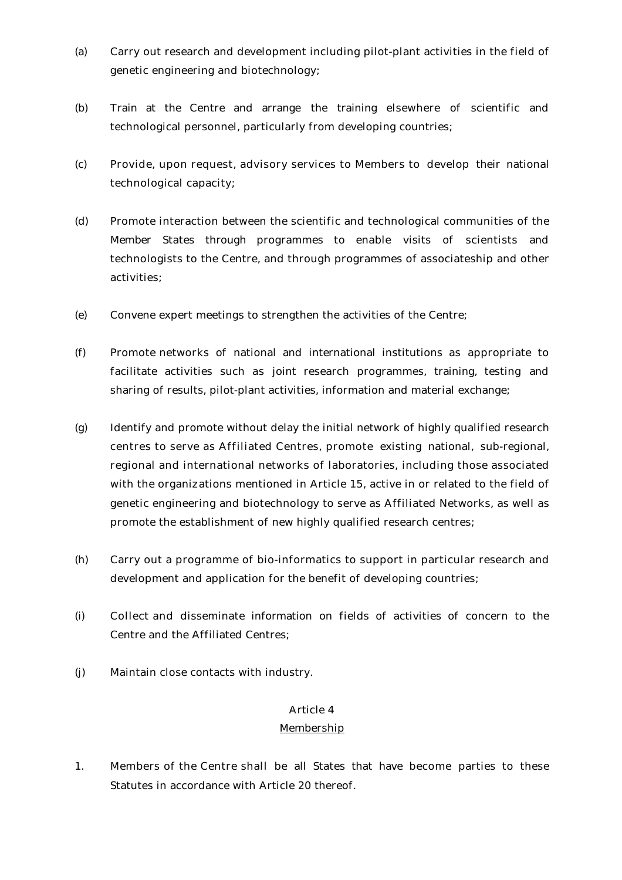- (a) Carry out research and development including pilot-plant activities in the field of genetic engineering and biotechnology;
- (b) Train at the Centre and arrange the training elsewhere of scientific and technological personnel, particularly from developing countries;
- (c) Provide, upon request, advisory services to Members to develop their national technological capacity;
- (d) Promote interaction between the scientific and technological communities of the Member States through programmes to enable visits of scientists and technologists to the Centre, and through programmes of associateship and other activities;
- (e) Convene expert meetings to strengthen the activities of the Centre;
- (f) Promote networks of national and international institutions as appropriate to facilitate activities such as joint research programmes, training, testing and sharing of results, pilot-plant activities, information and material exchange;
- (g) Identify and promote without delay the initial network of highly qualified research centres to serve as Affiliated Centres, promote existing national, sub-regional, regional and international networks of laboratories, including those associated with the organizations mentioned in Article 15, active in or related to the field of genetic engineering and biotechnology to serve as Affiliated Networks, as well as promote the establishment of new highly qualified research centres;
- (h) Carry out a programme of bio-informatics to support in particular research and development and application for the benefit of developing countries;
- (i) Collect and disseminate information on fields of activities of concern to the Centre and the Affiliated Centres;
- (j) Maintain close contacts with industry.

#### Membership

1. Members of the Centre shall be all States that have become parties to these Statutes in accordance with Article 20 thereof.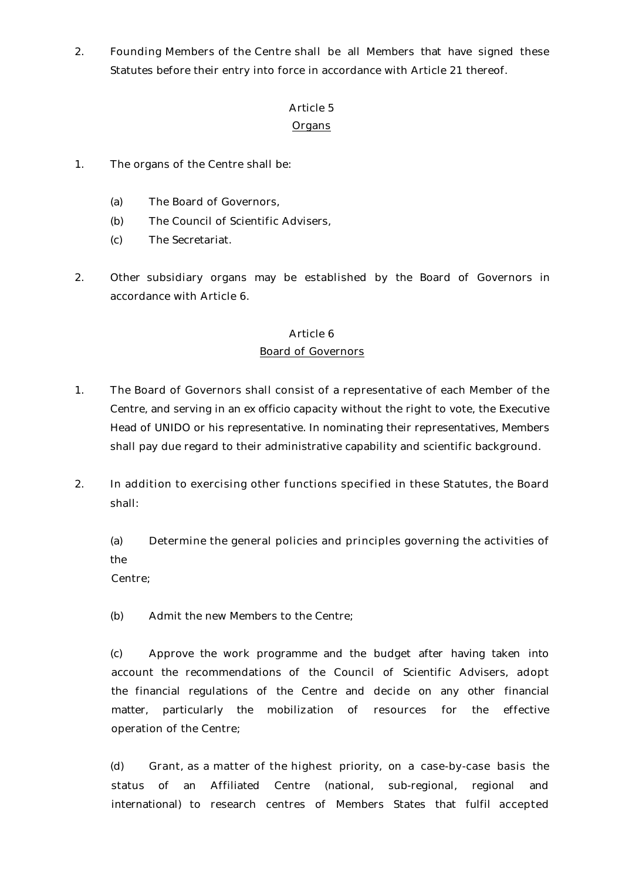2. Founding Members of the Centre shall be all Members that have signed these Statutes before their entry into force in accordance with Article 21 thereof.

#### Article 5

#### Organs

- 1. The organs of the Centre shall be:
	- (a) The Board of Governors,
	- (b) The Council of Scientific Advisers,
	- (c) The Secretariat.
- 2. Other subsidiary organs may be established by the Board of Governors in accordance with Article 6.

#### Article 6

#### Board of Governors

- 1. The Board of Governors shall consist of a representative of each Member of the Centre, and serving in an *ex officio* capacity without the right to vote, the Executive Head of UNIDO or his representative. In nominating their representatives, Members shall pay due regard to their administrative capability and scientific background.
- 2. In addition to exercising other functions specified in these Statutes, the Board shall:

(a) Determine the general policies and principles governing the activities of the

Centre;

(b) Admit the new Members to the Centre;

(c) Approve the work programme and the budget after having taken into account the recommendations of the Council of Scientific Advisers, adopt the financial regulations of the Centre and decide on any other financial matter, particularly the mobilization of resources for the effective operation of the Centre;

(d) Grant, as a matter of the highest priority, on a case-by-case basis the status of an Affiliated Centre (national, sub-regional, regional and international) to research centres of Members States that fulfil accepted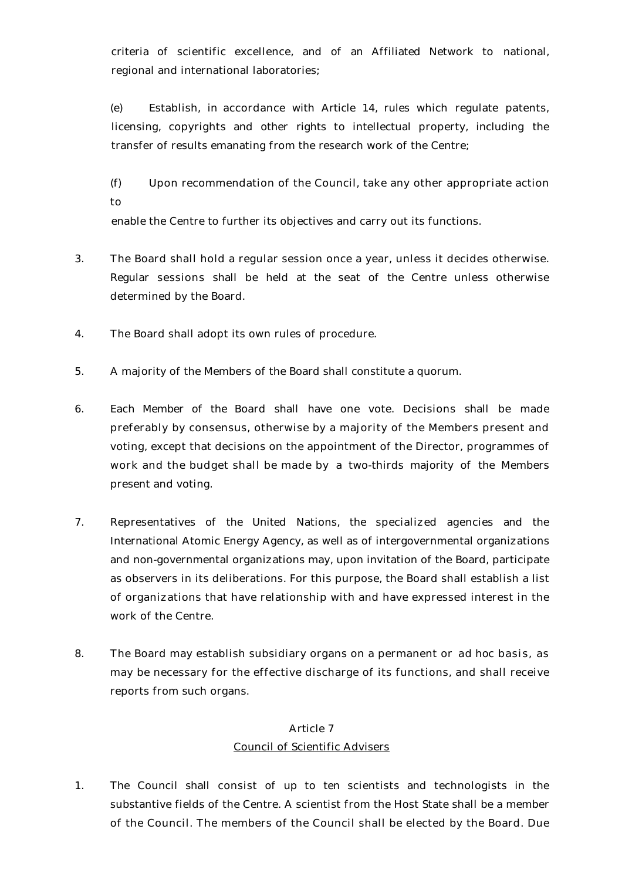criteria of scientific excellence, and of an Affiliated Network to national, regional and international laboratories;

(e) Establish, in accordance with Article 14, rules which regulate patents, licensing, copyrights and other rights to intellectual property, including the transfer of results emanating from the research work of the Centre;

(f) Upon recommendation of the Council, take any other appropriate action to

enable the Centre to further its objectives and carry out its functions.

- 3. The Board shall hold a regular session once a year, unless it decides otherwise. Regular sessions shall be held at the seat of the Centre unless otherwise determined by the Board.
- 4. The Board shall adopt its own rules of procedure.
- 5. A majority of the Members of the Board shall constitute a quorum.
- 6. Each Member of the Board shall have one vote. Decisions shall be made preferably by consensus, otherwise by a majority of the Members present and voting, except that decisions on the appointment of the Director, programmes of work and the budget shall be made by a two-thirds majority of the Members present and voting.
- 7. Representatives of the United Nations, the specialized agencies and the International Atomic Energy Agency, as well as of intergovernmental organizations and non-governmental organizations may, upon invitation of the Board, participate as observers in its deliberations. For this purpose, the Board shall establish a list of organizations that have relationship with and have expressed interest in the work of the Centre.
- 8. The Board may establish subsidiary organs on a permanent or *ad hoc* basis, as may be necessary for the effective discharge of its functions, and shall receive reports from such organs.

# Article 7 Council of Scientific Advisers

1. The Council shall consist of up to ten scientists and technologists in the substantive fields of the Centre. A scientist from the Host State shall be a member of the Council. The members of the Council shall be elected by the Board. Due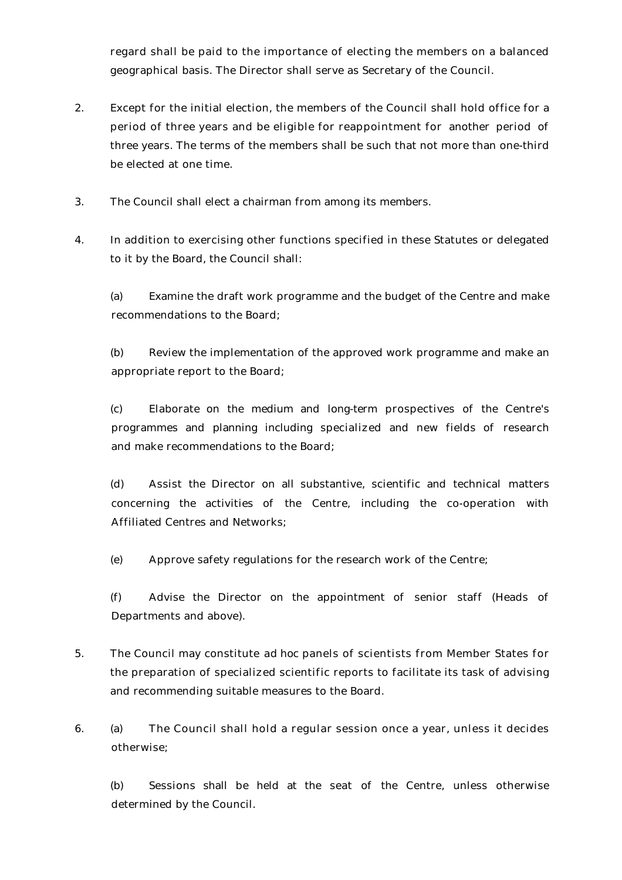regard shall be paid to the importance of electing the members on a balanced geographical basis. The Director shall serve as Secretary of the Council.

- 2. Except for the initial election, the members of the Council shall hold office for a period of three years and be eligible for reappointment for another period of three years. The terms of the members shall be such that not more than one-third be elected at one time.
- 3. The Council shall elect a chairman from among its members.
- 4. In addition to exercising other functions specified in these Statutes or delegated to it by the Board, the Council shall:

(a) Examine the draft work programme and the budget of the Centre and make recommendations to the Board;

(b) Review the implementation of the approved work programme and make an appropriate report to the Board;

(c) Elaborate on the medium and long-term prospectives of the Centre's programmes and planning including specialized and new fields of research and make recommendations to the Board;

(d) Assist the Director on all substantive, scientific and technical matters concerning the activities of the Centre, including the co-operation with Affiliated Centres and Networks;

(e) Approve safety regulations for the research work of the Centre;

(f) Advise the Director on the appointment of senior staff (Heads of Departments and above).

- 5. The Council may constitute *ad hoc* panels of scientists from Member States for the preparation of specialized scientific reports to facilitate its task of advising and recommending suitable measures to the Board.
- 6. (a) The Council shall hold a regular session once a year, unless it decides otherwise;

(b) Sessions shall be held at the seat of the Centre, unless otherwise determined by the Council.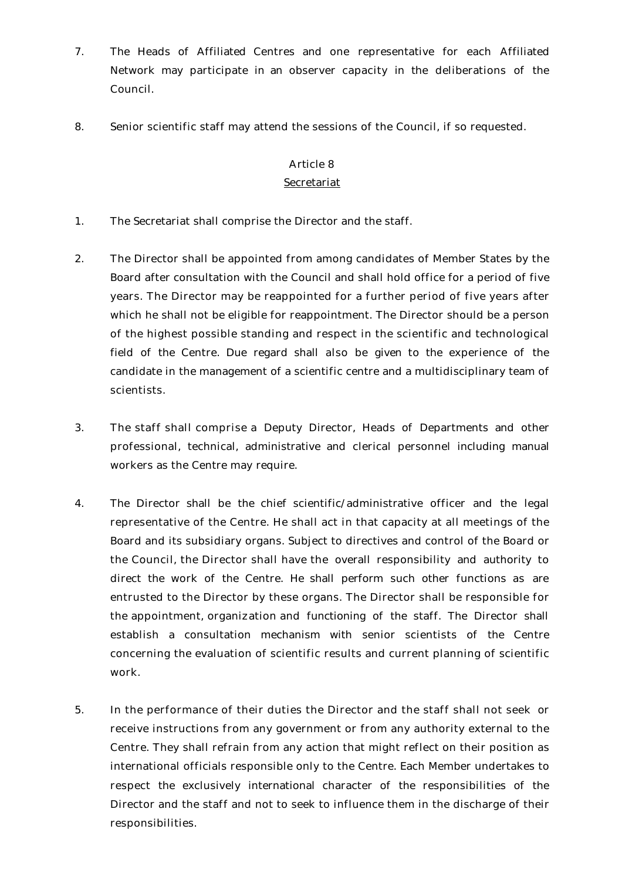- 7. The Heads of Affiliated Centres and one representative for each Affiliated Network may participate in an observer capacity in the deliberations of the Council.
- 8. Senior scientific staff may attend the sessions of the Council, if so requested.

#### Secretariat

- 1. The Secretariat shall comprise the Director and the staff.
- 2. The Director shall be appointed from among candidates of Member States by the Board after consultation with the Council and shall hold office for a period of five years. The Director may be reappointed for a further period of five years after which he shall not be eligible for reappointment. The Director should be a person of the highest possible standing and respect in the scientific and technological field of the Centre. Due regard shall also be given to the experience of the candidate in the management of a scientific centre and a multidisciplinary team of scientists.
- 3. The staff shall comprise a Deputy Director, Heads of Departments and other professional, technical, administrative and clerical personnel including manual workers as the Centre may require.
- 4. The Director shall be the chief scientific/administrative officer and the legal representative of the Centre. He shall act in that capacity at all meetings of the Board and its subsidiary organs. Subject to directives and control of the Board or the Council, the Director shall have the overall responsibility and authority to direct the work of the Centre. He shall perform such other functions as are entrusted to the Director by these organs. The Director shall be responsible for the appointment, organization and functioning of the staff. The Director shall establish a consultation mechanism with senior scientists of the Centre concerning the evaluation of scientific results and current planning of scientific work.
- 5. In the performance of their duties the Director and the staff shall not seek or receive instructions from any government or from any authority external to the Centre. They shall refrain from any action that might reflect on their position as international officials responsible only to the Centre. Each Member undertakes to respect the exclusively international character of the responsibilities of the Director and the staff and not to seek to influence them in the discharge of their responsibilities.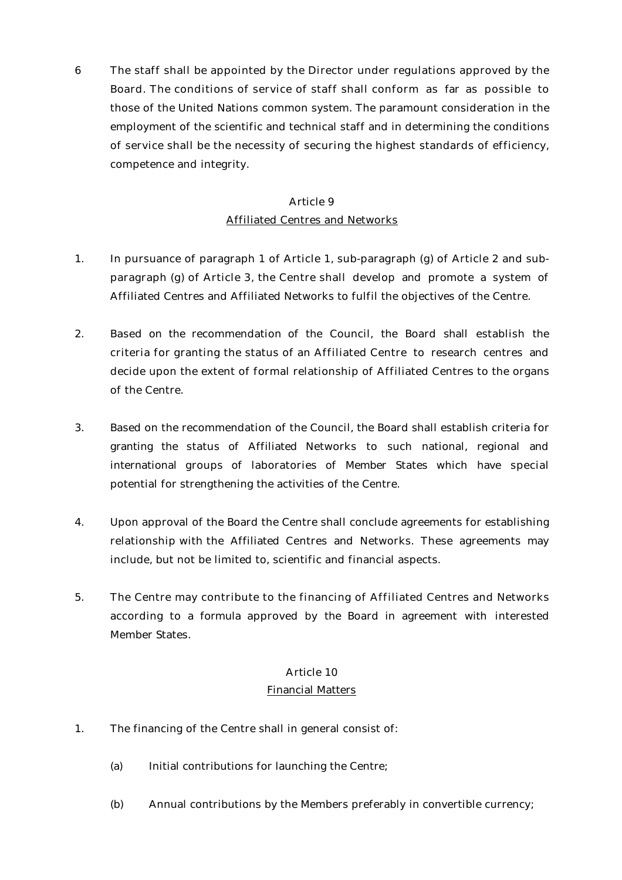6 The staff shall be appointed by the Director under regulations approved by the Board. The conditions of service of staff shall conform as far as possible to those of the United Nations common system. The paramount consideration in the employment of the scientific and technical staff and in determining the conditions of service shall be the necessity of securing the highest standards of efficiency, competence and integrity.

# Article 9 Affiliated Centres and Networks

- 1. In pursuance of paragraph 1 of Article 1, sub-paragraph (g) of Article 2 and subparagraph (g) of Article 3, the Centre shall develop and promote a system of Affiliated Centres and Affiliated Networks to fulfil the objectives of the Centre.
- 2. Based on the recommendation of the Council, the Board shall establish the criteria for granting the status of an Affiliated Centre to research centres and decide upon the extent of formal relationship of Affiliated Centres to the organs of the Centre.
- 3. Based on the recommendation of the Council, the Board shall establish criteria for granting the status of Affiliated Networks to such national, regional and international groups of laboratories of Member States which have special potential for strengthening the activities of the Centre.
- 4. Upon approval of the Board the Centre shall conclude agreements for establishing relationship with the Affiliated Centres and Networks. These agreements may include, but not be limited to, scientific and financial aspects.
- 5. The Centre may contribute to the financing of Affiliated Centres and Networks according to a formula approved by the Board in agreement with interested Member States.

#### Article 10

#### Financial Matters

- 1. The financing of the Centre shall in general consist of:
	- (a) Initial contributions for launching the Centre;
	- (b) Annual contributions by the Members preferably in convertible currency;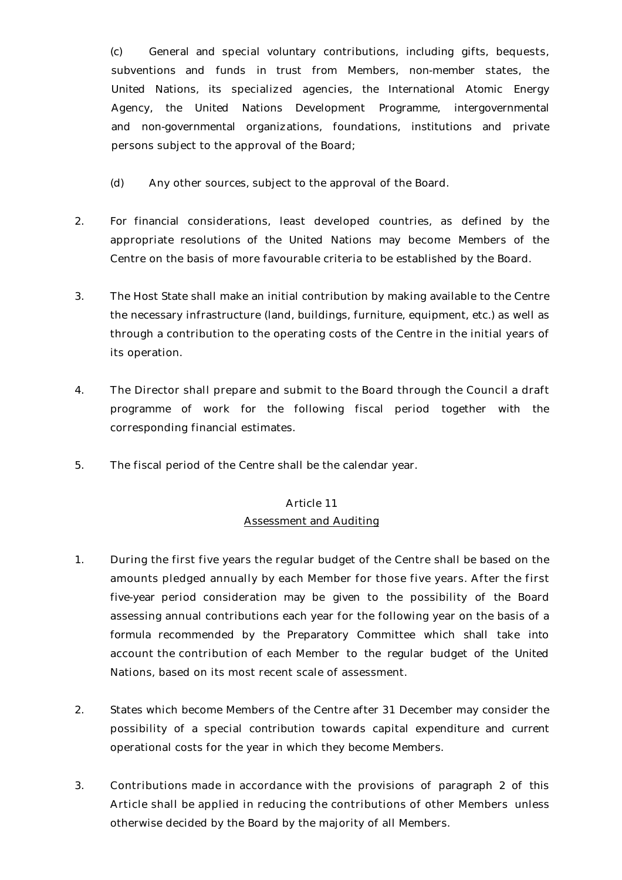(c) General and special voluntary contributions, including gifts, bequests, subventions and funds in trust from Members, non-member states, the United Nations, its specialized agencies, the International Atomic Energy Agency, the United Nations Development Programme, intergovernmental and non-governmental organizations, foundations, institutions and private persons subject to the approval of the Board;

- (d) Any other sources, subject to the approval of the Board.
- 2. For financial considerations, least developed countries, as defined by the appropriate resolutions of the United Nations may become Members of the Centre on the basis of more favourable criteria to be established by the Board.
- 3. The Host State shall make an initial contribution by making available to the Centre the necessary infrastructure (land, buildings, furniture, equipment, etc.) as well as through a contribution to the operating costs of the Centre in the initial years of its operation.
- 4. The Director shall prepare and submit to the Board through the Council a draft programme of work for the following fiscal period together with the corresponding financial estimates.
- 5. The fiscal period of the Centre shall be the calendar year.

#### Article 11

#### Assessment and Auditing

- 1. During the first five years the regular budget of the Centre shall be based on the amounts pledged annually by each Member for those five years. After the first five-year period consideration may be given to the possibility of the Board assessing annual contributions each year for the following year on the basis of a formula recommended by the Preparatory Committee which shall take into account the contribution of each Member to the regular budget of the United Nations, based on its most recent scale of assessment.
- 2. States which become Members of the Centre after 31 December may consider the possibility of a special contribution towards capital expenditure and current operational costs for the year in which they become Members.
- 3. Contributions made in accordance with the provisions of paragraph 2 of this Article shall be applied in reducing the contributions of other Members unless otherwise decided by the Board by the majority of all Members.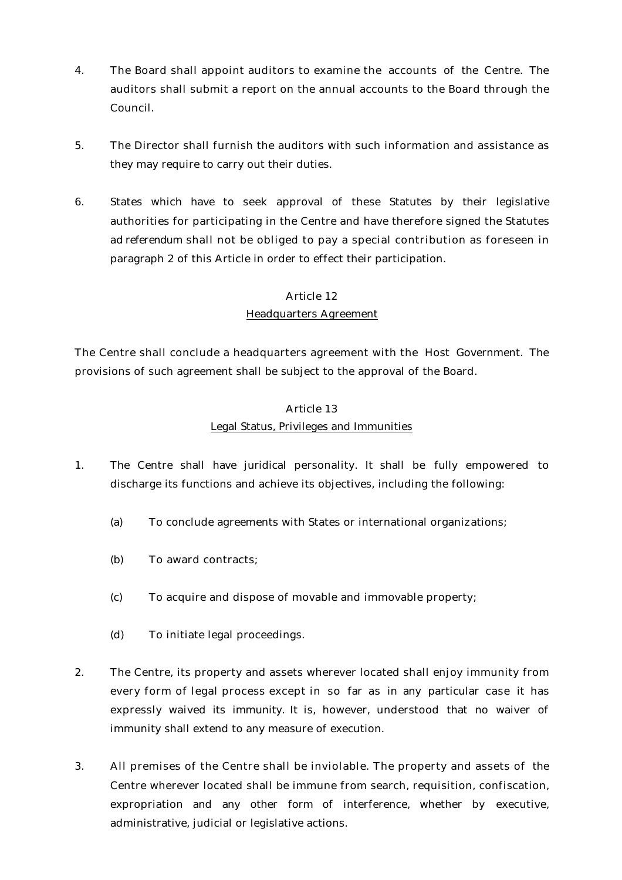- 4. The Board shall appoint auditors to examine the accounts of the Centre. The auditors shall submit a report on the annual accounts to the Board through the Council.
- 5. The Director shall furnish the auditors with such information and assistance as they may require to carry out their duties.
- 6. States which have to seek approval of these Statutes by their legislative authorities for participating in the Centre and have therefore signed the Statutes *ad referendum* shall not be obliged to pay a special contribution as foreseen in paragraph 2 of this Article in order to effect their participation.

# Headquarters Agreement

The Centre shall conclude a headquarters agreement with the Host Government. The provisions of such agreement shall be subject to the approval of the Board.

# Article 13

# Legal Status, Privileges and Immunities

- 1. The Centre shall have juridical personality. It shall be fully empowered to discharge its functions and achieve its objectives, including the following:
	- (a) To conclude agreements with States or international organizations;
	- (b) To award contracts;
	- (c) To acquire and dispose of movable and immovable property;
	- (d) To initiate legal proceedings.
- 2. The Centre, its property and assets wherever located shall enjoy immunity from every form of legal process except in so far as in any particular case it has expressly waived its immunity. It is, however, understood that no waiver of immunity shall extend to any measure of execution.
- 3. All premises of the Centre shall be inviolable. The property and assets of the Centre wherever located shall be immune from search, requisition, confiscation, expropriation and any other form of interference, whether by executive, administrative, judicial or legislative actions.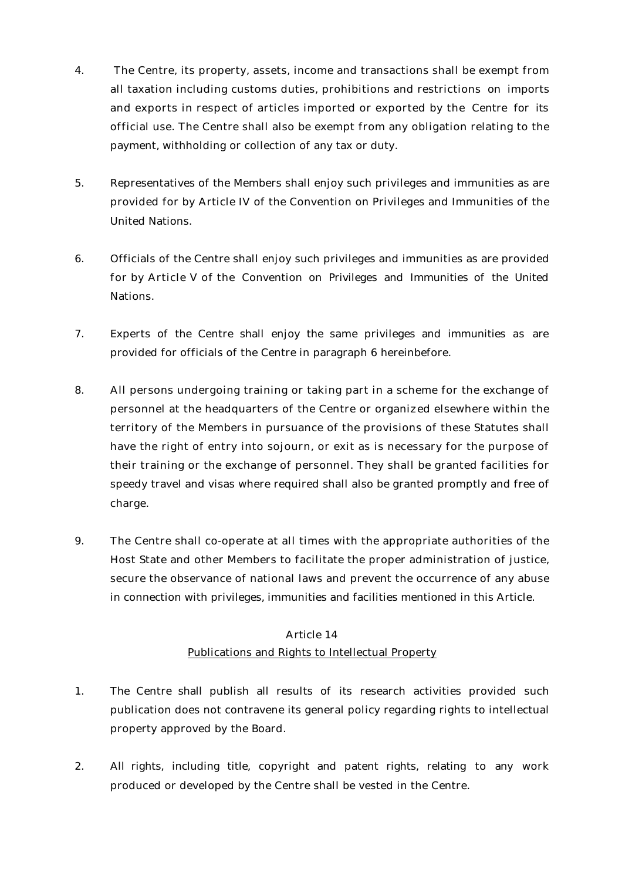- 4. The Centre, its property, assets, income and transactions shall be exempt from all taxation including customs duties, prohibitions and restrictions on imports and exports in respect of articles imported or exported by the Centre for its official use. The Centre shall also be exempt from any obligation relating to the payment, withholding or collection of any tax or duty.
- 5. Representatives of the Members shall enjoy such privileges and immunities as are provided for by Article IV of the Convention on Privileges and Immunities of the United Nations.
- 6. Officials of the Centre shall enjoy such privileges and immunities as are provided for by Article V of the Convention on Privileges and Immunities of the United Nations.
- 7. Experts of the Centre shall enjoy the same privileges and immunities as are provided for officials of the Centre in paragraph 6 hereinbefore.
- 8. All persons undergoing training or taking part in a scheme for the exchange of personnel at the headquarters of the Centre or organized elsewhere within the territory of the Members in pursuance of the provisions of these Statutes shall have the right of entry into sojourn, or exit as is necessary for the purpose of their training or the exchange of personnel. They shall be granted facilities for speedy travel and visas where required shall also be granted promptly and free of charge.
- 9. The Centre shall co-operate at all times with the appropriate authorities of the Host State and other Members to facilitate the proper administration of justice, secure the observance of national laws and prevent the occurrence of any abuse in connection with privileges, immunities and facilities mentioned in this Article.

#### Publications and Rights to Intellectual Property

- 1. The Centre shall publish all results of its research activities provided such publication does not contravene its general policy regarding rights to intellectual property approved by the Board.
- 2. All rights, including title, copyright and patent rights, relating to any work produced or developed by the Centre shall be vested in the Centre.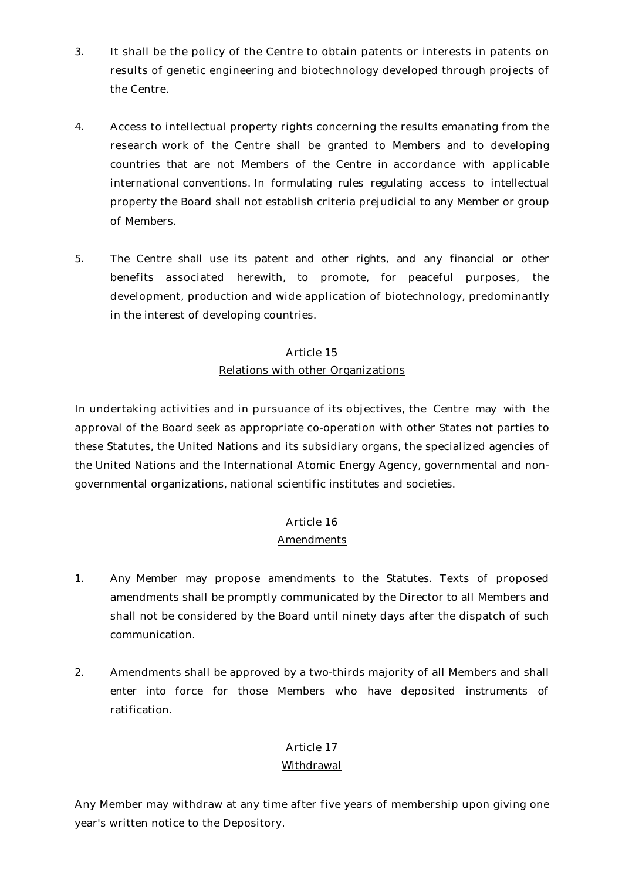- 3. It shall be the policy of the Centre to obtain patents or interests in patents on results of genetic engineering and biotechnology developed through projects of the Centre.
- 4. Access to intellectual property rights concerning the results emanating from the research work of the Centre shall be granted to Members and to developing countries that are not Members of the Centre in accordance with applicable international conventions. In formulating rules regulating access to intellectual property the Board shall not establish criteria prejudicial to any Member or group of Members.
- 5. The Centre shall use its patent and other rights, and any financial or other benefits associated herewith, to promote, for peaceful purposes, the development, production and wide application of biotechnology, predominantly in the interest of developing countries.

# Article 15 Relations with other Organizations

In undertaking activities and in pursuance of its objectives, the Centre may with the approval of the Board seek as appropriate co-operation with other States not parties to these Statutes, the United Nations and its subsidiary organs, the specialized agencies of the United Nations and the International Atomic Energy Agency, governmental and nongovernmental organizations, national scientific institutes and societies.

# Article 16

#### Amendments

- 1. Any Member may propose amendments to the Statutes. Texts of proposed amendments shall be promptly communicated by the Director to all Members and shall not be considered by the Board until ninety days after the dispatch of such communication.
- 2. Amendments shall be approved by a two-thirds majority of all Members and shall enter into force for those Members who have deposited instruments of ratification.

# Article 17

# Withdrawal

Any Member may withdraw at any time after five years of membership upon giving one year's written notice to the Depository.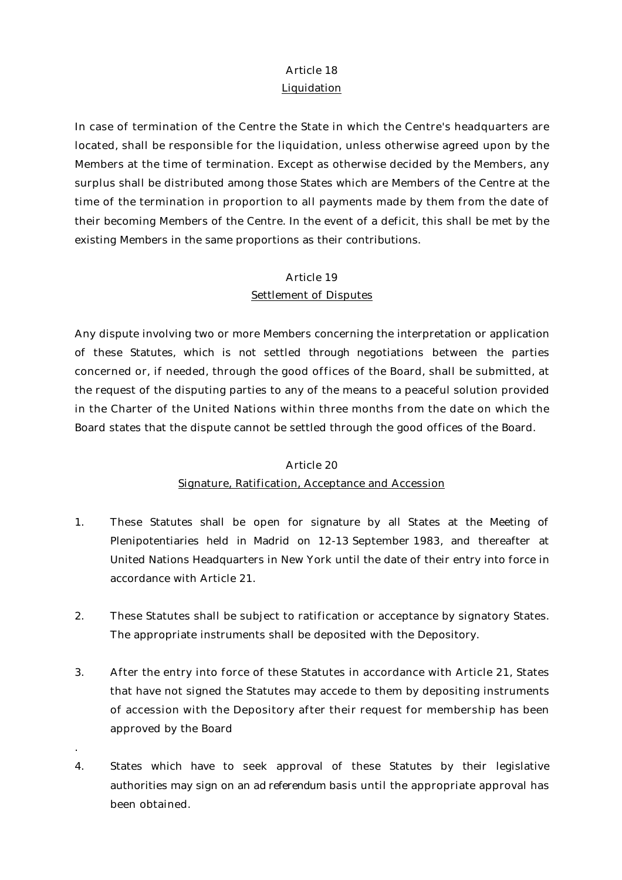#### **Liquidation**

In case of termination of the Centre the State in which the Centre's headquarters are located, shall be responsible for the liquidation, unless otherwise agreed upon by the Members at the time of termination. Except as otherwise decided by the Members, any surplus shall be distributed among those States which are Members of the Centre at the time of the termination in proportion to all payments made by them from the date of their becoming Members of the Centre. In the event of a deficit, this shall be met by the existing Members in the same proportions as their contributions.

# Article 19 Settlement of Disputes

Any dispute involving two or more Members concerning the interpretation or application of these Statutes, which is not settled through negotiations between the parties concerned or, if needed, through the good offices of the Board, shall be submitted, at the request of the disputing parties to any of the means to a peaceful solution provided in the Charter of the United Nations within three months from the date on which the Board states that the dispute cannot be settled through the good offices of the Board.

#### Article 20

#### Signature, Ratification, Acceptance and Accession

- 1. These Statutes shall be open for signature by all States at the Meeting of Plenipotentiaries held in Madrid on 12-13 September 1983, and thereafter at United Nations Headquarters in New York until the date of their entry into force in accordance with Article 21.
- 2. These Statutes shall be subject to ratification or acceptance by signatory States. The appropriate instruments shall be deposited with the Depository.
- 3. After the entry into force of these Statutes in accordance with Article 21, States that have not signed the Statutes may accede to them by depositing instruments of accession with the Depository after their request for membership has been approved by the Board
- 4. States which have to seek approval of these Statutes by their legislative authorities may sign on an *ad referendum* basis until the appropriate approval has been obtained.

.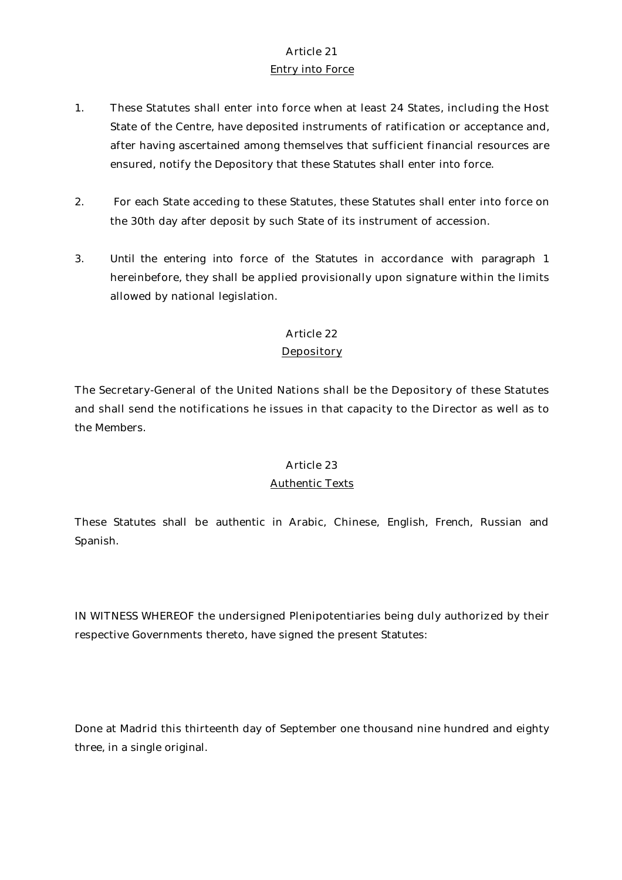# Article 21 Entry into Force

- 1. These Statutes shall enter into force when at least 24 States, including the Host State of the Centre, have deposited instruments of ratification or acceptance and, after having ascertained among themselves that sufficient financial resources are ensured, notify the Depository that these Statutes shall enter into force.
- 2. For each State acceding to these Statutes, these Statutes shall enter into force on the 30th day after deposit by such State of its instrument of accession.
- 3. Until the entering into force of the Statutes in accordance with paragraph 1 hereinbefore, they shall be applied provisionally upon signature within the limits allowed by national legislation.

### Article 22

### Depository

The Secretary-General of the United Nations shall be the Depository of these Statutes and shall send the notifications he issues in that capacity to the Director as well as to the Members.

#### Article 23

#### Authentic Texts

These Statutes shall be authentic in Arabic, Chinese, English, French, Russian and Spanish.

IN WITNESS WHEREOF the undersigned Plenipotentiaries being duly authorized by their respective Governments thereto, have signed the present Statutes:

Done at Madrid this thirteenth day of September one thousand nine hundred and eighty three, in a single original.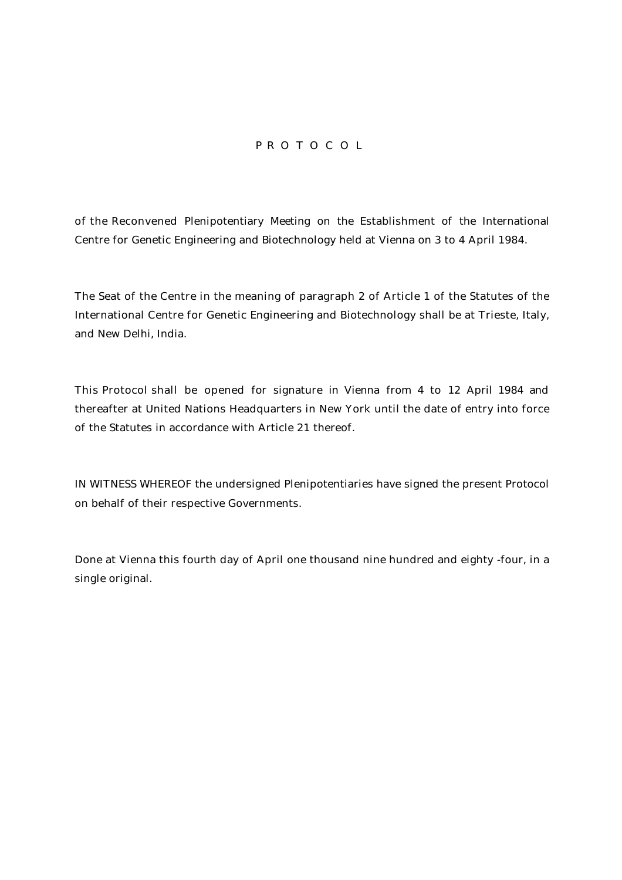# P R O T O C O L

of the Reconvened Plenipotentiary Meeting on the Establishment of the International Centre for Genetic Engineering and Biotechnology held at Vienna on 3 to 4 April 1984.

The Seat of the Centre in the meaning of paragraph 2 of Article 1 of the Statutes of the International Centre for Genetic Engineering and Biotechnology shall be at Trieste, Italy, and New Delhi, India.

This Protocol shall be opened for signature in Vienna from 4 to 12 April 1984 and thereafter at United Nations Headquarters in New York until the date of entry into force of the Statutes in accordance with Article 21 thereof.

IN WITNESS WHEREOF the undersigned Plenipotentiaries have signed the present Protocol on behalf of their respective Governments.

Done at Vienna this fourth day of April one thousand nine hundred and eighty -four, in a single original.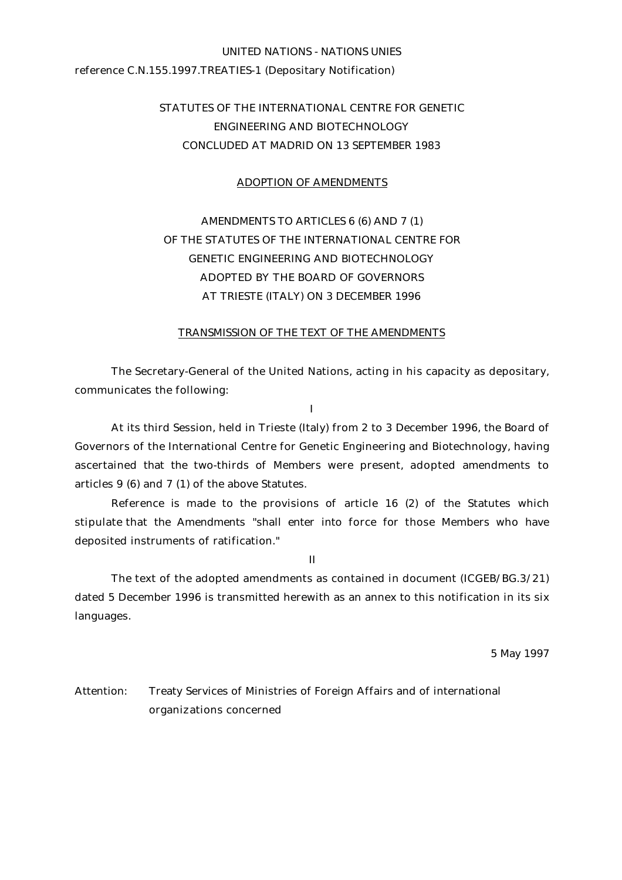# UNITED NATIONS - NATIONS UNIES reference C.N.155.1997.TREATIES-1 (Depositary Notification)

# STATUTES OF THE INTERNATIONAL CENTRE FOR GENETIC ENGINEERING AND BIOTECHNOLOGY CONCLUDED AT MADRID ON 13 SEPTEMBER 1983

#### ADOPTION OF AMENDMENTS

# AMENDMENTS TO ARTICLES 6 (6) AND 7 (1) OF THE STATUTES OF THE INTERNATIONAL CENTRE FOR GENETIC ENGINEERING AND BIOTECHNOLOGY ADOPTED BY THE BOARD OF GOVERNORS AT TRIESTE (ITALY) ON 3 DECEMBER 1996

#### TRANSMISSION OF THE TEXT OF THE AMENDMENTS

The Secretary-General of the United Nations, acting in his capacity as depositary, communicates the following:

I

At its third Session, held in Trieste (Italy) from 2 to 3 December 1996, the Board of Governors of the International Centre for Genetic Engineering and Biotechnology, having ascertained that the two-thirds of Members were present, adopted amendments to articles 9 (6) and 7 (1) of the above Statutes.

Reference is made to the provisions of article 16 (2) of the Statutes which stipulate that the Amendments "shall enter into force for those Members who have deposited instruments of ratification."

II

The text of the adopted amendments as contained in document (ICGEB/BG.3/21) dated 5 December 1996 is transmitted herewith as an annex to this notification in its six languages.

5 May 1997

Attention: Treaty Services of Ministries of Foreign Affairs and of international organizations concerned